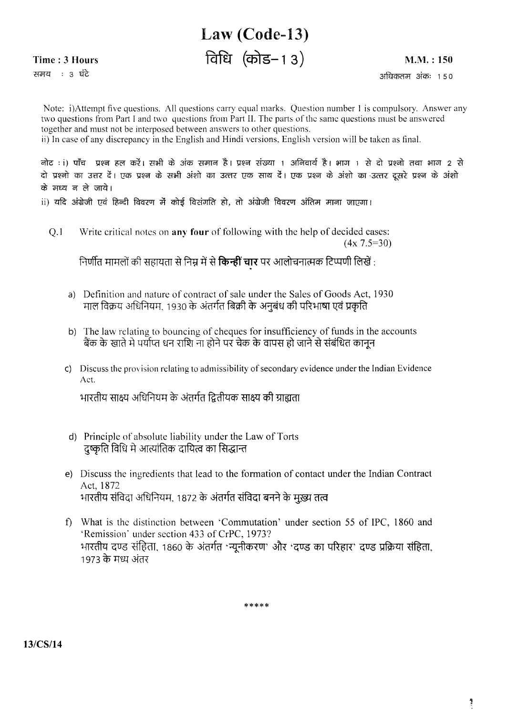## Law (Code-13)

विधि (कोड–13)

Time: 3 Hours

समय : 3 घंटे

 $M.M.: 150$ 

अधिकतम अंकः १५०

Note: i)Attempt five questions. All questions carry equal marks. Question number 1 is compulsory. Answer any two questions from Part I and two questions from Part II. The parts of the same questions must be answered together and must not be interposed between answers to other questions. ii) In case of any discrepancy in the English and Hindi versions, English version will be taken as final.

नोट : i) पाँच प्रश्न हल करें। सभी के अंक समान है। प्रश्न संख्या 1 अनिवार्य है। भाग 1 से दो प्रश्नो तथा भाग 2 से दो प्रश्नो का उत्तर दें। एक प्रश्न के सभी अंशो का उत्तर एक साथ दें। एक प्रश्न के अंशो का उत्तर दसरे प्रश्न के अंशो के मध्य न ले जाये।

ii) यदि अंग्रेजी एवं हिन्दी विवरण में कोई विसंगति हो, तो अंग्रेजी विवरण अंतिम माना जाएगा।

Write critical notes on **any four** of following with the help of decided cases:  $O.1$  $(4x\,7.5=30)$ 

निर्णीत मामलों की सहायता से निम्न में से **किन्हीं चार** पर आलोचनात्मक टिप्पणी लिखें :

- a) Definition and nature of contract of sale under the Sales of Goods Act, 1930 माल विक्रय अधिनियम, 1930 के अंतर्गत बिक्री के अनुबंध की परिभाषा एवं प्रकृति
- b) The law relating to bouncing of cheques for insufficiency of funds in the accounts बैंक के खाते मे पर्याप्त धन राशि ना होने पर चेक के वापस हो जाने से संबंधित कानून
- c) Discuss the provision relating to admissibility of secondary evidence under the Indian Evidence  $\Delta ct$

भारतीय साक्ष्य अधिनियम के अंतर्गत द्वितीयक साक्ष्य की ग्राह्मता

- d) Principle of absolute liability under the Law of Torts दृष्कृति विधि मे आत्यांतिक दायित्व का सिद्धान्त
- e) Discuss the ingredients that lead to the formation of contact under the Indian Contract Act. 1872 भारतीय संविदा अधिनियम, 1872 के अंतर्गत संविदा बनने के मुख्य तत्व
- What is the distinction between 'Commutation' under section 55 of IPC. 1860 and  $\mathbf{f}$ 'Remission' under section 433 of CrPC, 1973? भारतीय दण्ड संहिता, 1860 के अंतर्गत 'न्यूनीकरण' और 'दण्ड का परिहार' दण्ड प्रक्रिया संहिता, 1973 के मध्य अंतर

\*\*\*\*\*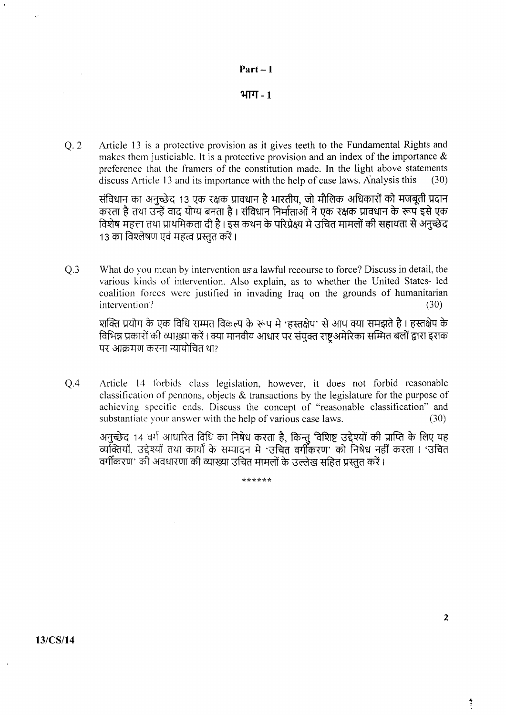

भाग $-1$ 

Q.2 Article 13 is a protective provision as it gives teeth to the Fundamental Rights and makes them justiciable. It is a protective provision and an index of the importance  $\&$ preferencc that the fiamers of the constitution made. In the light above statements discuss Article 13 and its importance with the help of case laws. Analysis this  $(30)$ 

संविधान का अनुच्छेद 13 एक रक्षक प्रावधान है भारतीय, जो मौलिक अधिकारों को मजबूती प्रदान करता है तथा उन्हें वाद योग्य बनता है । संविधान निर्माताओं ने एक रक्षक प्रावधान के रूप इसे एक विशेष महत्ता तथा प्राथमिकता दी है । इस कथन के परिप्रेक्ष्य मे उचित मामलों की सहायता से अनुच्छेद 13 का विश्लेषण एवं महत्व प्रस्तुत करें।

 $Q<sub>3</sub>$ What do you mean by intervention as a lawful recourse to force? Discuss in detail, the various kinds of intervention. Also explain, as to whether the United States- led coalition forces were justified in invading Iraq on the grounds of humanitarian intervention?  $(30)$ intervention?  $\ddot{C}$  (30)

शक्ति प्रयोग के एक विधि सम्मत विकल्प के रूप मे 'हस्तक्षेप' से आप क्या समझते है । हस्तक्षेप के faिमन्न प्रकारों की व्याख्या करें । क्या मानवीय आधार पर संयुक्त राष्ट्र अमेरिका सम्मित बलों द्वारा इराक पर आक्रमण करना न्यायोचित था?

 $Q<sub>4</sub>$ Article 14 forbids class legislation, however, it does not forbid reasonable classification of pennons, objects  $\&$  transactions by the legislature for the purpose of achieving specific cnds. Discuss the concept of "reasonable classification" and substantiate your answer with the help of various case laws.  $(30)$ 

अनुच्छेद 14 वर्ग आधारित विधि का निषेध करता है, किन्तु विशिष्ट उद्देश्यों की प्राप्ति के लिए यह<br>व्यक्तियों, उद्देश्यों तथा कार्यों के सम्पादन मे 'उचित वर्गीकरण' को निषेध नहीं करता । 'उचित वर्गीकरण' की अवधारणा की व्याख्या उचित मामलों के उल्लेख सहित प्रस्तत करें।

ikr<trrr\*\*

 $13/CS/14$ 

Ĵ.